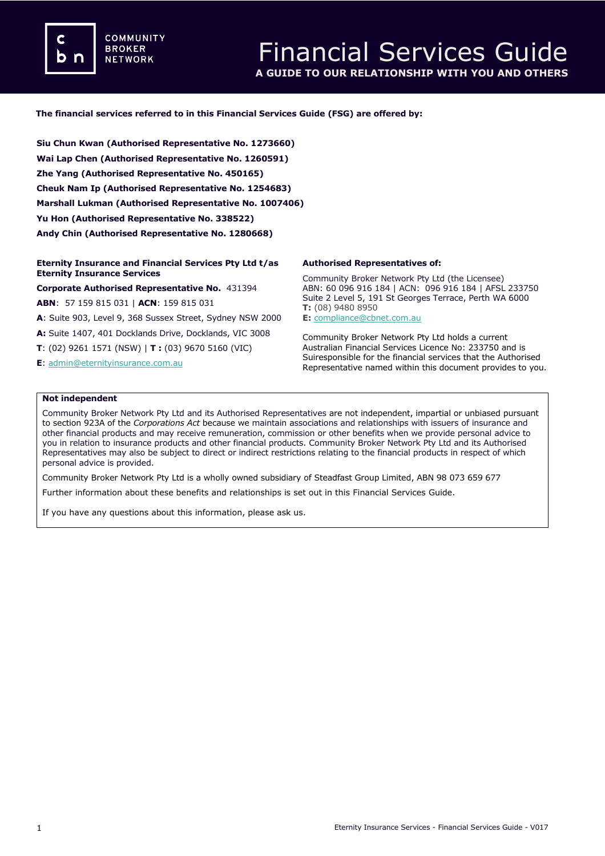**COMMUNITY BROKER NETWORK** 

## **The financial services referred to in this Financial Services Guide (FSG) are offered by:**

**Siu Chun Kwan (Authorised Representative No. 1273660) Wai Lap Chen (Authorised Representative No. 1260591) Zhe Yang (Authorised Representative No. 450165) Cheuk Nam Ip (Authorised Representative No. 1254683) Marshall Lukman (Authorised Representative No. 1007406) Yu Hon (Authorised Representative No. 338522) Andy Chin (Authorised Representative No. 1280668)**

#### **Eternity Insurance and Financial Services Pty Ltd t/as Eternity Insurance Services**

**Corporate Authorised Representative No.** 431394

**ABN**: 57 159 815 031 | **ACN**: 159 815 031 **A**: Suite 903, Level 9, 368 Sussex Street, Sydney NSW 2000 **A:** Suite 1407, 401 Docklands Drive, Docklands, VIC 3008 **T**: (02) 9261 1571 (NSW) | **T :** (03) 9670 5160 (VIC) **E**[: admin@eternityinsurance.com.au](mailto:admin@eternityinsurance.com.au)

## **Authorised Representatives of:**

Community Broker Network Pty Ltd (the Licensee) ABN: 60 096 916 184 | ACN: 096 916 184 | AFSL 233750 Suite 2 Level 5, 191 St Georges Terrace, Perth WA 6000 **T:** (08) 9480 8950 **E:** [compliance@cbnet.com.au](mailto:queries@naswg.com.au) 

Community Broker Network Pty Ltd holds a current Australian Financial Services Licence No: 233750 and is Suiresponsible for the financial services that the Authorised Representative named within this document provides to you.

#### **Not independent**

Community Broker Network Pty Ltd and its Authorised Representatives are not independent, impartial or unbiased pursuant to section 923A of the *Corporations Act* because we maintain associations and relationships with issuers of insurance and other financial products and may receive remuneration, commission or other benefits when we provide personal advice to you in relation to insurance products and other financial products. Community Broker Network Pty Ltd and its Authorised Representatives may also be subject to direct or indirect restrictions relating to the financial products in respect of which personal advice is provided.

Community Broker Network Pty Ltd is a wholly owned subsidiary of Steadfast Group Limited, ABN 98 073 659 677

Further information about these benefits and relationships is set out in this Financial Services Guide.

If you have any questions about this information, please ask us.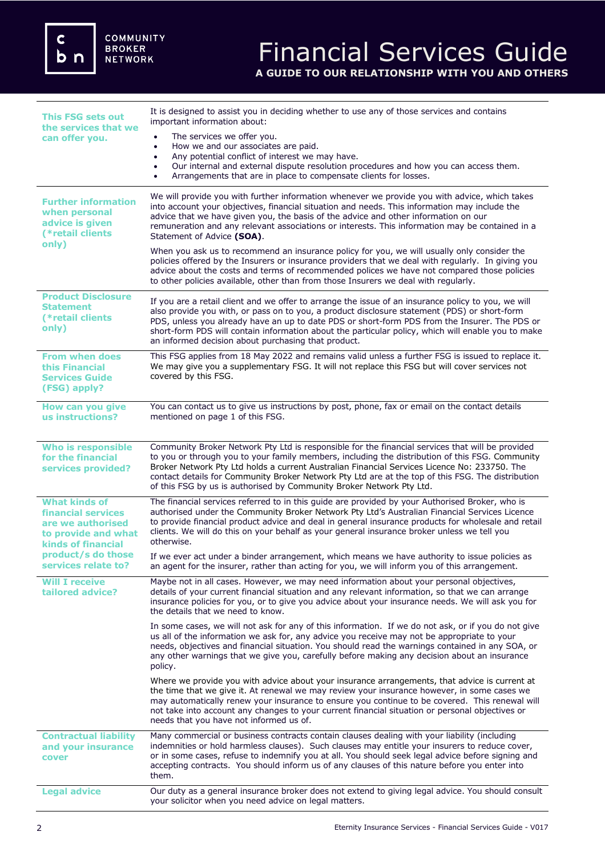| <b>This FSG sets out</b><br>the services that we<br>can offer you.                                                  | It is designed to assist you in deciding whether to use any of those services and contains<br>important information about:<br>The services we offer you.<br>How we and our associates are paid.<br>٠                                                                                                                                                                                                                                                                             |  |
|---------------------------------------------------------------------------------------------------------------------|----------------------------------------------------------------------------------------------------------------------------------------------------------------------------------------------------------------------------------------------------------------------------------------------------------------------------------------------------------------------------------------------------------------------------------------------------------------------------------|--|
|                                                                                                                     | Any potential conflict of interest we may have.<br>$\bullet$<br>Our internal and external dispute resolution procedures and how you can access them.<br>$\bullet$<br>Arrangements that are in place to compensate clients for losses.<br>$\bullet$                                                                                                                                                                                                                               |  |
| <b>Further information</b><br>when personal<br>advice is given<br>(*retail clients                                  | We will provide you with further information whenever we provide you with advice, which takes<br>into account your objectives, financial situation and needs. This information may include the<br>advice that we have given you, the basis of the advice and other information on our<br>remuneration and any relevant associations or interests. This information may be contained in a<br>Statement of Advice (SOA).                                                           |  |
| only)                                                                                                               | When you ask us to recommend an insurance policy for you, we will usually only consider the<br>policies offered by the Insurers or insurance providers that we deal with regularly. In giving you<br>advice about the costs and terms of recommended polices we have not compared those policies<br>to other policies available, other than from those Insurers we deal with regularly.                                                                                          |  |
| <b>Product Disclosure</b><br><b>Statement</b><br>(*retail clients<br>only)                                          | If you are a retail client and we offer to arrange the issue of an insurance policy to you, we will<br>also provide you with, or pass on to you, a product disclosure statement (PDS) or short-form<br>PDS, unless you already have an up to date PDS or short-form PDS from the Insurer. The PDS or<br>short-form PDS will contain information about the particular policy, which will enable you to make<br>an informed decision about purchasing that product.                |  |
| <b>From when does</b><br>this Financial<br><b>Services Guide</b><br>(FSG) apply?                                    | This FSG applies from 18 May 2022 and remains valid unless a further FSG is issued to replace it.<br>We may give you a supplementary FSG. It will not replace this FSG but will cover services not<br>covered by this FSG.                                                                                                                                                                                                                                                       |  |
| How can you give<br>us instructions?                                                                                | You can contact us to give us instructions by post, phone, fax or email on the contact details<br>mentioned on page 1 of this FSG.                                                                                                                                                                                                                                                                                                                                               |  |
| <b>Who is responsible</b><br>for the financial<br>services provided?                                                | Community Broker Network Pty Ltd is responsible for the financial services that will be provided<br>to you or through you to your family members, including the distribution of this FSG. Community<br>Broker Network Pty Ltd holds a current Australian Financial Services Licence No: 233750. The<br>contact details for Community Broker Network Pty Ltd are at the top of this FSG. The distribution<br>of this FSG by us is authorised by Community Broker Network Pty Ltd. |  |
| <b>What kinds of</b><br>financial services<br>are we authorised<br>to provide and what<br><b>kinds of financial</b> | The financial services referred to in this guide are provided by your Authorised Broker, who is<br>authorised under the Community Broker Network Pty Ltd's Australian Financial Services Licence<br>to provide financial product advice and deal in general insurance products for wholesale and retail<br>clients. We will do this on your behalf as your general insurance broker unless we tell you<br>otherwise.                                                             |  |
| product/s do those<br>services relate to?                                                                           | If we ever act under a binder arrangement, which means we have authority to issue policies as<br>an agent for the insurer, rather than acting for you, we will inform you of this arrangement.                                                                                                                                                                                                                                                                                   |  |
| <b>Will I receive</b><br>tailored advice?                                                                           | Maybe not in all cases. However, we may need information about your personal objectives,<br>details of your current financial situation and any relevant information, so that we can arrange<br>insurance policies for you, or to give you advice about your insurance needs. We will ask you for<br>the details that we need to know.                                                                                                                                           |  |
|                                                                                                                     | In some cases, we will not ask for any of this information. If we do not ask, or if you do not give<br>us all of the information we ask for, any advice you receive may not be appropriate to your<br>needs, objectives and financial situation. You should read the warnings contained in any SOA, or<br>any other warnings that we give you, carefully before making any decision about an insurance<br>policy.                                                                |  |
|                                                                                                                     | Where we provide you with advice about your insurance arrangements, that advice is current at<br>the time that we give it. At renewal we may review your insurance however, in some cases we<br>may automatically renew your insurance to ensure you continue to be covered. This renewal will<br>not take into account any changes to your current financial situation or personal objectives or<br>needs that you have not informed us of.                                     |  |
| <b>Contractual liability</b><br>and your insurance<br>cover                                                         | Many commercial or business contracts contain clauses dealing with your liability (including<br>indemnities or hold harmless clauses). Such clauses may entitle your insurers to reduce cover,<br>or in some cases, refuse to indemnify you at all. You should seek legal advice before signing and<br>accepting contracts. You should inform us of any clauses of this nature before you enter into<br>them.                                                                    |  |
| <b>Legal advice</b>                                                                                                 | Our duty as a general insurance broker does not extend to giving legal advice. You should consult<br>your solicitor when you need advice on legal matters.                                                                                                                                                                                                                                                                                                                       |  |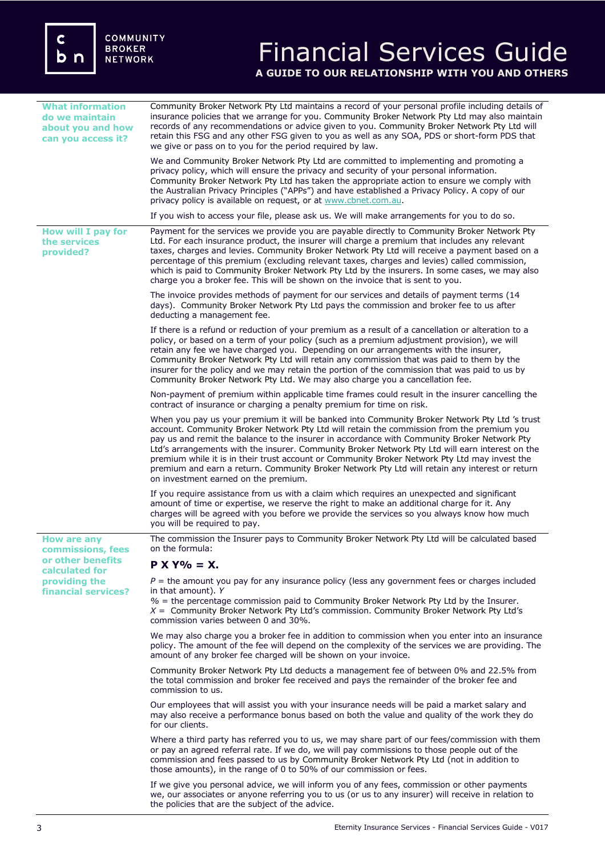# Financial Services Guide **A GUIDE TO OUR RELATIONSHIP WITH YOU AND OTHERS**

| <b>What information</b><br>do we maintain<br>about you and how<br>can you access it?                                   | Community Broker Network Pty Ltd maintains a record of your personal profile including details of<br>insurance policies that we arrange for you. Community Broker Network Pty Ltd may also maintain<br>records of any recommendations or advice given to you. Community Broker Network Pty Ltd will<br>retain this FSG and any other FSG given to you as well as any SOA, PDS or short-form PDS that<br>we give or pass on to you for the period required by law.                                                                                                                                                                       |  |  |
|------------------------------------------------------------------------------------------------------------------------|-----------------------------------------------------------------------------------------------------------------------------------------------------------------------------------------------------------------------------------------------------------------------------------------------------------------------------------------------------------------------------------------------------------------------------------------------------------------------------------------------------------------------------------------------------------------------------------------------------------------------------------------|--|--|
|                                                                                                                        | We and Community Broker Network Pty Ltd are committed to implementing and promoting a<br>privacy policy, which will ensure the privacy and security of your personal information.<br>Community Broker Network Pty Ltd has taken the appropriate action to ensure we comply with<br>the Australian Privacy Principles ("APPs") and have established a Privacy Policy. A copy of our<br>privacy policy is available on request, or at www.cbnet.com.au.                                                                                                                                                                                   |  |  |
|                                                                                                                        | If you wish to access your file, please ask us. We will make arrangements for you to do so.                                                                                                                                                                                                                                                                                                                                                                                                                                                                                                                                             |  |  |
| How will I pay for<br>the services<br>provided?                                                                        | Payment for the services we provide you are payable directly to Community Broker Network Pty<br>Ltd. For each insurance product, the insurer will charge a premium that includes any relevant<br>taxes, charges and levies. Community Broker Network Pty Ltd will receive a payment based on a<br>percentage of this premium (excluding relevant taxes, charges and levies) called commission,<br>which is paid to Community Broker Network Pty Ltd by the insurers. In some cases, we may also<br>charge you a broker fee. This will be shown on the invoice that is sent to you.                                                      |  |  |
|                                                                                                                        | The invoice provides methods of payment for our services and details of payment terms (14<br>days). Community Broker Network Pty Ltd pays the commission and broker fee to us after<br>deducting a management fee.                                                                                                                                                                                                                                                                                                                                                                                                                      |  |  |
|                                                                                                                        | If there is a refund or reduction of your premium as a result of a cancellation or alteration to a<br>policy, or based on a term of your policy (such as a premium adjustment provision), we will<br>retain any fee we have charged you. Depending on our arrangements with the insurer,<br>Community Broker Network Pty Ltd will retain any commission that was paid to them by the<br>insurer for the policy and we may retain the portion of the commission that was paid to us by<br>Community Broker Network Pty Ltd. We may also charge you a cancellation fee.                                                                   |  |  |
|                                                                                                                        | Non-payment of premium within applicable time frames could result in the insurer cancelling the<br>contract of insurance or charging a penalty premium for time on risk.                                                                                                                                                                                                                                                                                                                                                                                                                                                                |  |  |
|                                                                                                                        | When you pay us your premium it will be banked into Community Broker Network Pty Ltd 's trust<br>account. Community Broker Network Pty Ltd will retain the commission from the premium you<br>pay us and remit the balance to the insurer in accordance with Community Broker Network Pty<br>Ltd's arrangements with the insurer. Community Broker Network Pty Ltd will earn interest on the<br>premium while it is in their trust account or Community Broker Network Pty Ltd may invest the<br>premium and earn a return. Community Broker Network Pty Ltd will retain any interest or return<br>on investment earned on the premium. |  |  |
|                                                                                                                        | If you require assistance from us with a claim which requires an unexpected and significant<br>amount of time or expertise, we reserve the right to make an additional charge for it. Any<br>charges will be agreed with you before we provide the services so you always know how much<br>you will be required to pay.                                                                                                                                                                                                                                                                                                                 |  |  |
| <b>How are any</b><br>commissions, fees<br>or other benefits<br>calculated for<br>providing the<br>financial services? | The commission the Insurer pays to Community Broker Network Pty Ltd will be calculated based<br>on the formula:                                                                                                                                                                                                                                                                                                                                                                                                                                                                                                                         |  |  |
|                                                                                                                        | $P X Y\% = X.$                                                                                                                                                                                                                                                                                                                                                                                                                                                                                                                                                                                                                          |  |  |
|                                                                                                                        | $P =$ the amount you pay for any insurance policy (less any government fees or charges included<br>in that amount). Y                                                                                                                                                                                                                                                                                                                                                                                                                                                                                                                   |  |  |
|                                                                                                                        | $%$ = the percentage commission paid to Community Broker Network Pty Ltd by the Insurer.<br>$X =$ Community Broker Network Pty Ltd's commission. Community Broker Network Pty Ltd's<br>commission varies between 0 and 30%.                                                                                                                                                                                                                                                                                                                                                                                                             |  |  |
|                                                                                                                        | We may also charge you a broker fee in addition to commission when you enter into an insurance<br>policy. The amount of the fee will depend on the complexity of the services we are providing. The<br>amount of any broker fee charged will be shown on your invoice.                                                                                                                                                                                                                                                                                                                                                                  |  |  |
|                                                                                                                        | Community Broker Network Pty Ltd deducts a management fee of between 0% and 22.5% from<br>the total commission and broker fee received and pays the remainder of the broker fee and<br>commission to us.                                                                                                                                                                                                                                                                                                                                                                                                                                |  |  |
|                                                                                                                        | Our employees that will assist you with your insurance needs will be paid a market salary and<br>may also receive a performance bonus based on both the value and quality of the work they do<br>for our clients.                                                                                                                                                                                                                                                                                                                                                                                                                       |  |  |
|                                                                                                                        | Where a third party has referred you to us, we may share part of our fees/commission with them<br>or pay an agreed referral rate. If we do, we will pay commissions to those people out of the<br>commission and fees passed to us by Community Broker Network Pty Ltd (not in addition to<br>those amounts), in the range of 0 to 50% of our commission or fees.                                                                                                                                                                                                                                                                       |  |  |
|                                                                                                                        | If we give you personal advice, we will inform you of any fees, commission or other payments<br>we, our associates or anyone referring you to us (or us to any insurer) will receive in relation to                                                                                                                                                                                                                                                                                                                                                                                                                                     |  |  |

the policies that are the subject of the advice.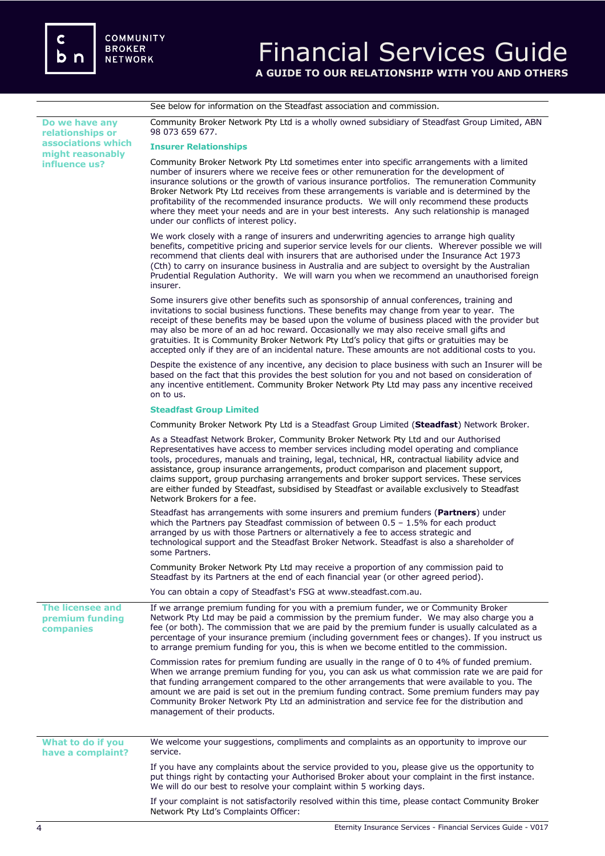See below for information on the Steadfast association and commission.

**Do we have any relationships or associations which might reasonably influence us?**  Community Broker Network Pty Ltd is a wholly owned subsidiary of Steadfast Group Limited, ABN 98 073 659 677. **Insurer Relationships**  Community Broker Network Pty Ltd sometimes enter into specific arrangements with a limited number of insurers where we receive fees or other remuneration for the development of insurance solutions or the growth of various insurance portfolios. The remuneration Community Broker Network Pty Ltd receives from these arrangements is variable and is determined by the profitability of the recommended insurance products. We will only recommend these products where they meet your needs and are in your best interests. Any such relationship is managed under our conflicts of interest policy. We work closely with a range of insurers and underwriting agencies to arrange high quality benefits, competitive pricing and superior service levels for our clients. Wherever possible we will recommend that clients deal with insurers that are authorised under the Insurance Act 1973 (Cth) to carry on insurance business in Australia and are subject to oversight by the Australian Prudential Regulation Authority. We will warn you when we recommend an unauthorised foreign insurer. Some insurers give other benefits such as sponsorship of annual conferences, training and invitations to social business functions. These benefits may change from year to year. The receipt of these benefits may be based upon the volume of business placed with the provider but may also be more of an ad hoc reward. Occasionally we may also receive small gifts and gratuities. It is Community Broker Network Pty Ltd's policy that gifts or gratuities may be accepted only if they are of an incidental nature. These amounts are not additional costs to you. Despite the existence of any incentive, any decision to place business with such an Insurer will be based on the fact that this provides the best solution for you and not based on consideration of any incentive entitlement. Community Broker Network Pty Ltd may pass any incentive received on to us. **Steadfast Group Limited** Community Broker Network Pty Ltd is a Steadfast Group Limited (**Steadfast**) Network Broker. As a Steadfast Network Broker, Community Broker Network Pty Ltd and our Authorised Representatives have access to member services including model operating and compliance tools, procedures, manuals and training, legal, technical, HR, contractual liability advice and assistance, group insurance arrangements, product comparison and placement support, claims support, group purchasing arrangements and broker support services. These services are either funded by Steadfast, subsidised by Steadfast or available exclusively to Steadfast Network Brokers for a fee. Steadfast has arrangements with some insurers and premium funders (**Partners**) under which the Partners pay Steadfast commission of between  $0.5 - 1.5\%$  for each product arranged by us with those Partners or alternatively a fee to access strategic and technological support and the Steadfast Broker Network. Steadfast is also a shareholder of some Partners. Community Broker Network Pty Ltd may receive a proportion of any commission paid to Steadfast by its Partners at the end of each financial year (or other agreed period). You can obtain a copy of Steadfast's FSG at www.steadfast.com.au. **The licensee and premium funding companies** If we arrange premium funding for you with a premium funder, we or Community Broker Network Pty Ltd may be paid a commission by the premium funder. We may also charge you a fee (or both). The commission that we are paid by the premium funder is usually calculated as a percentage of your insurance premium (including government fees or changes). If you instruct us to arrange premium funding for you, this is when we become entitled to the commission. Commission rates for premium funding are usually in the range of 0 to 4% of funded premium. When we arrange premium funding for you, you can ask us what commission rate we are paid for that funding arrangement compared to the other arrangements that were available to you. The amount we are paid is set out in the premium funding contract. Some premium funders may pay Community Broker Network Pty Ltd an administration and service fee for the distribution and management of their products. **What to do if you have a complaint?** We welcome your suggestions, compliments and complaints as an opportunity to improve our service. If you have any complaints about the service provided to you, please give us the opportunity to put things right by contacting your Authorised Broker about your complaint in the first instance. We will do our best to resolve your complaint within 5 working days. If your complaint is not satisfactorily resolved within this time, please contact Community Broker

Network Pty Ltd's Complaints Officer: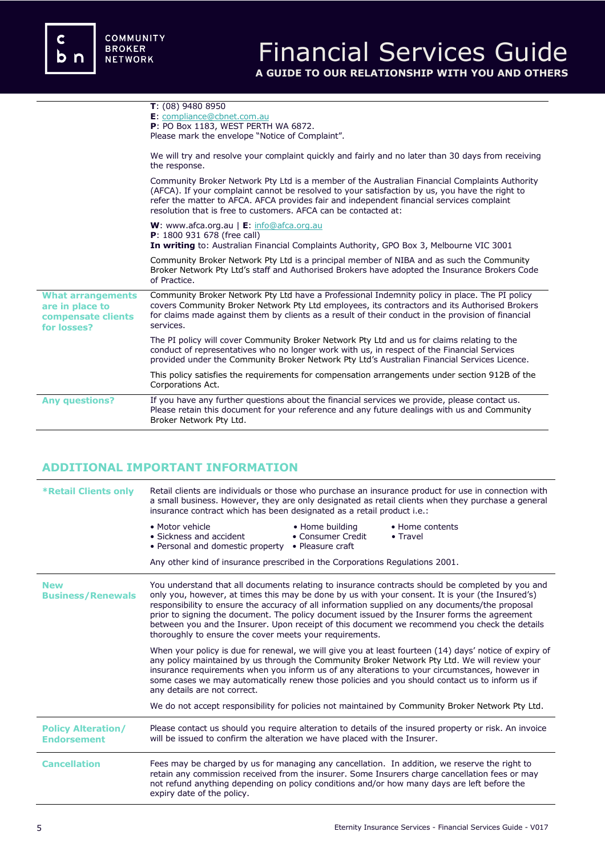|                                                                                  | $T: (08)$ 9480 8950<br>E: compliance@cbnet.com.au<br>P: PO Box 1183, WEST PERTH WA 6872.<br>Please mark the envelope "Notice of Complaint".                                                                                                                                                                                                                     |
|----------------------------------------------------------------------------------|-----------------------------------------------------------------------------------------------------------------------------------------------------------------------------------------------------------------------------------------------------------------------------------------------------------------------------------------------------------------|
|                                                                                  | We will try and resolve your complaint quickly and fairly and no later than 30 days from receiving<br>the response.                                                                                                                                                                                                                                             |
|                                                                                  | Community Broker Network Pty Ltd is a member of the Australian Financial Complaints Authority<br>(AFCA). If your complaint cannot be resolved to your satisfaction by us, you have the right to<br>refer the matter to AFCA. AFCA provides fair and independent financial services complaint<br>resolution that is free to customers. AFCA can be contacted at: |
|                                                                                  | W: www.afca.org.au   E: info@afca.org.au<br><b>P</b> : 1800 931 678 (free call)<br>In writing to: Australian Financial Complaints Authority, GPO Box 3, Melbourne VIC 3001                                                                                                                                                                                      |
|                                                                                  | Community Broker Network Pty Ltd is a principal member of NIBA and as such the Community<br>Broker Network Pty Ltd's staff and Authorised Brokers have adopted the Insurance Brokers Code<br>of Practice.                                                                                                                                                       |
| <b>What arrangements</b><br>are in place to<br>compensate clients<br>for losses? | Community Broker Network Pty Ltd have a Professional Indemnity policy in place. The PI policy<br>covers Community Broker Network Pty Ltd employees, its contractors and its Authorised Brokers<br>for claims made against them by clients as a result of their conduct in the provision of financial<br>services.                                               |
|                                                                                  | The PI policy will cover Community Broker Network Pty Ltd and us for claims relating to the<br>conduct of representatives who no longer work with us, in respect of the Financial Services<br>provided under the Community Broker Network Pty Ltd's Australian Financial Services Licence.                                                                      |
|                                                                                  | This policy satisfies the requirements for compensation arrangements under section 912B of the<br>Corporations Act.                                                                                                                                                                                                                                             |
| <b>Any questions?</b>                                                            | If you have any further questions about the financial services we provide, please contact us.<br>Please retain this document for your reference and any future dealings with us and Community<br>Broker Network Pty Ltd.                                                                                                                                        |

# **ADDITIONAL IMPORTANT INFORMATION**

| <b>*Retail Clients only</b>                     | Retail clients are individuals or those who purchase an insurance product for use in connection with<br>a small business. However, they are only designated as retail clients when they purchase a general<br>insurance contract which has been designated as a retail product i.e.:                                                                                                                                                                                                                                                                                |                                      |                                                                                                  |  |
|-------------------------------------------------|---------------------------------------------------------------------------------------------------------------------------------------------------------------------------------------------------------------------------------------------------------------------------------------------------------------------------------------------------------------------------------------------------------------------------------------------------------------------------------------------------------------------------------------------------------------------|--------------------------------------|--------------------------------------------------------------------------------------------------|--|
|                                                 | • Motor vehicle<br>• Sickness and accident<br>• Personal and domestic property • Pleasure craft                                                                                                                                                                                                                                                                                                                                                                                                                                                                     | • Home building<br>• Consumer Credit | • Home contents<br>$\bullet$ Travel                                                              |  |
|                                                 | Any other kind of insurance prescribed in the Corporations Regulations 2001.                                                                                                                                                                                                                                                                                                                                                                                                                                                                                        |                                      |                                                                                                  |  |
| <b>New</b><br><b>Business/Renewals</b>          | You understand that all documents relating to insurance contracts should be completed by you and<br>only you, however, at times this may be done by us with your consent. It is your (the Insured's)<br>responsibility to ensure the accuracy of all information supplied on any documents/the proposal<br>prior to signing the document. The policy document issued by the Insurer forms the agreement<br>between you and the Insurer. Upon receipt of this document we recommend you check the details<br>thoroughly to ensure the cover meets your requirements. |                                      |                                                                                                  |  |
|                                                 | When your policy is due for renewal, we will give you at least fourteen (14) days' notice of expiry of<br>any policy maintained by us through the Community Broker Network Pty Ltd. We will review your<br>insurance requirements when you inform us of any alterations to your circumstances, however in<br>some cases we may automatically renew those policies and you should contact us to inform us if<br>any details are not correct.                                                                                                                         |                                      |                                                                                                  |  |
|                                                 |                                                                                                                                                                                                                                                                                                                                                                                                                                                                                                                                                                     |                                      | We do not accept responsibility for policies not maintained by Community Broker Network Pty Ltd. |  |
| <b>Policy Alteration/</b><br><b>Endorsement</b> | Please contact us should you require alteration to details of the insured property or risk. An invoice<br>will be issued to confirm the alteration we have placed with the Insurer.                                                                                                                                                                                                                                                                                                                                                                                 |                                      |                                                                                                  |  |
| <b>Cancellation</b>                             | Fees may be charged by us for managing any cancellation. In addition, we reserve the right to<br>retain any commission received from the insurer. Some Insurers charge cancellation fees or may<br>not refund anything depending on policy conditions and/or how many days are left before the<br>expiry date of the policy.                                                                                                                                                                                                                                        |                                      |                                                                                                  |  |